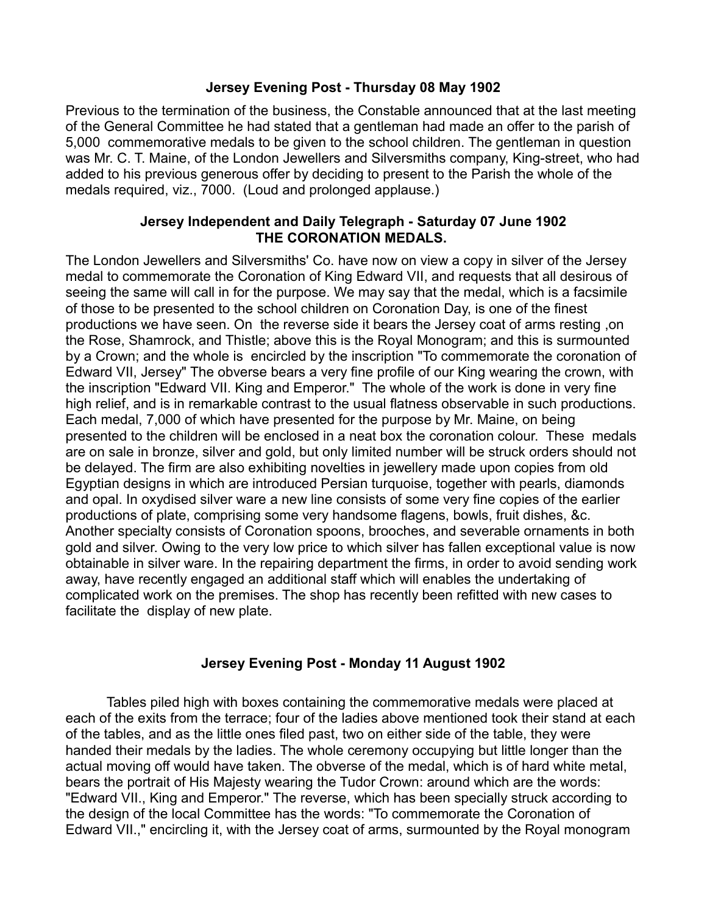## **Jersey Evening Post - Thursday 08 May 1902**

Previous to the termination of the business, the Constable announced that at the last meeting of the General Committee he had stated that a gentleman had made an offer to the parish of 5,000 commemorative medals to be given to the school children. The gentleman in question was Mr. C. T. Maine, of the London Jewellers and Silversmiths company, King-street, who had added to his previous generous offer by deciding to present to the Parish the whole of the medals required, viz., 7000. (Loud and prolonged applause.)

## **Jersey Independent and Daily Telegraph - Saturday 07 June 1902 THE CORONATION MEDALS.**

The London Jewellers and Silversmiths' Co. have now on view a copy in silver of the Jersey medal to commemorate the Coronation of King Edward VII, and requests that all desirous of seeing the same will call in for the purpose. We may say that the medal, which is a facsimile of those to be presented to the school children on Coronation Day, is one of the finest productions we have seen. On the reverse side it bears the Jersey coat of arms resting ,on the Rose, Shamrock, and Thistle; above this is the Royal Monogram; and this is surmounted by a Crown; and the whole is encircled by the inscription "To commemorate the coronation of Edward VII, Jersey" The obverse bears a very fine profile of our King wearing the crown, with the inscription "Edward VII. King and Emperor." The whole of the work is done in very fine high relief, and is in remarkable contrast to the usual flatness observable in such productions. Each medal, 7,000 of which have presented for the purpose by Mr. Maine, on being presented to the children will be enclosed in a neat box the coronation colour. These medals are on sale in bronze, silver and gold, but only limited number will be struck orders should not be delayed. The firm are also exhibiting novelties in jewellery made upon copies from old Egyptian designs in which are introduced Persian turquoise, together with pearls, diamonds and opal. In oxydised silver ware a new line consists of some very fine copies of the earlier productions of plate, comprising some very handsome flagens, bowls, fruit dishes, &c. Another specialty consists of Coronation spoons, brooches, and severable ornaments in both gold and silver. Owing to the very low price to which silver has fallen exceptional value is now obtainable in silver ware. In the repairing department the firms, in order to avoid sending work away, have recently engaged an additional staff which will enables the undertaking of complicated work on the premises. The shop has recently been refitted with new cases to facilitate the display of new plate.

## **Jersey Evening Post - Monday 11 August 1902**

Tables piled high with boxes containing the commemorative medals were placed at each of the exits from the terrace; four of the ladies above mentioned took their stand at each of the tables, and as the little ones filed past, two on either side of the table, they were handed their medals by the ladies. The whole ceremony occupying but little longer than the actual moving off would have taken. The obverse of the medal, which is of hard white metal, bears the portrait of His Majesty wearing the Tudor Crown: around which are the words: "Edward VII., King and Emperor." The reverse, which has been specially struck according to the design of the local Committee has the words: "To commemorate the Coronation of Edward VII.," encircling it, with the Jersey coat of arms, surmounted by the Royal monogram